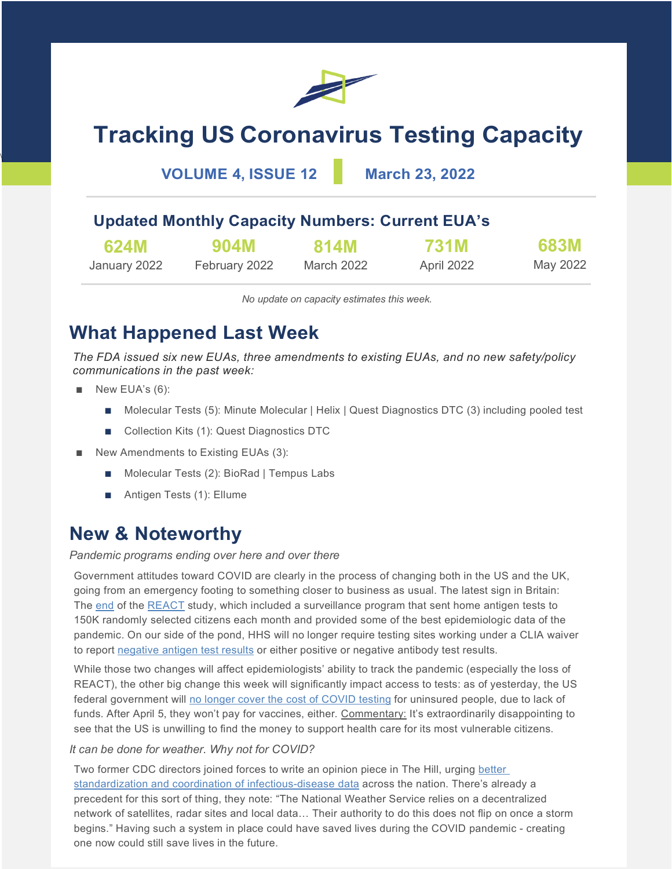

# **Tracking US Coronavirus Testing Capacity**

### **VOLUME 4, ISSUE 12 March 23, 2022**

### **Updated Monthly Capacity Numbers: Current EUA's**

| 624M         | 904M          | <b>814M</b> | <b>731M</b> | <b>683M</b> |
|--------------|---------------|-------------|-------------|-------------|
| January 2022 | February 2022 | March 2022  | April 2022  | May 2022    |

*No update on capacity estimates this week.*

## **What Happened Last Week**

*The FDA issued six new EUAs, three amendments to existing EUAs, and no new safety/policy communications in the past week:*

■ New EUA's (6):

\

- Molecular Tests (5): Minute Molecular | Helix | Quest Diagnostics DTC (3) including pooled test
- Collection Kits (1): Quest Diagnostics DTC
- New Amendments to Existing EUAs (3):
	- Molecular Tests (2): BioRad | Tempus Labs
	- Antigen Tests (1): Ellume

### **New & Noteworthy**

#### *Pandemic programs ending over here and over there*

Government attitudes toward COVID are clearly in the process of changing both in the US and the UK, going from an emergency footing to something closer to business as usual. The latest sign in Britain: The [end](https://www.theguardian.com/world/2022/mar/12/dismay-as-funding-for-uks-world-beating-covid-trackers-is-axed) of the [REACT](https://www.imperial.ac.uk/medicine/research-and-impact/groups/react-study/) study, which included a surveillance program that sent home antigen tests to 150K randomly selected citizens each month and provided some of the best epidemiologic data of the pandemic. On our side of the pond, HHS will no longer require testing sites working under a CLIA waiver to report [negative antigen test results](https://www.cdc.gov/csels/dls/locs/2022/03-10-2022-lab-advisory-HHS_Updates_COVID-19_Laboratory_Reporting_Guidance.html) or either positive or negative antibody test results.

While those two changes will affect epidemiologists' ability to track the pandemic (especially the loss of REACT), the other big change this week will significantly impact access to tests: as of yesterday, the US federal government will [no longer cover the cost of COVID testing](https://www.hrsa.gov/coviduninsuredclaim/submission-deadline) for uninsured people, due to lack of funds. After April 5, they won't pay for vaccines, either. Commentary: It's extraordinarily disappointing to see that the US is unwilling to find the money to support health care for its most vulnerable citizens.

#### *It can be done for weather. Why not for COVID?*

Two former CDC directors joined forces to write an opinion piece in The Hill, urging [better](https://thehill.com/opinion/healthcare/597494-former-cdc-directors-coordinating-our-nations-health-data-will-save-lives)  [standardization and coordination of infectious-disease data](https://thehill.com/opinion/healthcare/597494-former-cdc-directors-coordinating-our-nations-health-data-will-save-lives) across the nation. There's already a precedent for this sort of thing, they note: "The National Weather Service relies on a decentralized network of satellites, radar sites and local data… Their authority to do this does not flip on once a storm begins." Having such a system in place could have saved lives during the COVID pandemic - creating one now could still save lives in the future.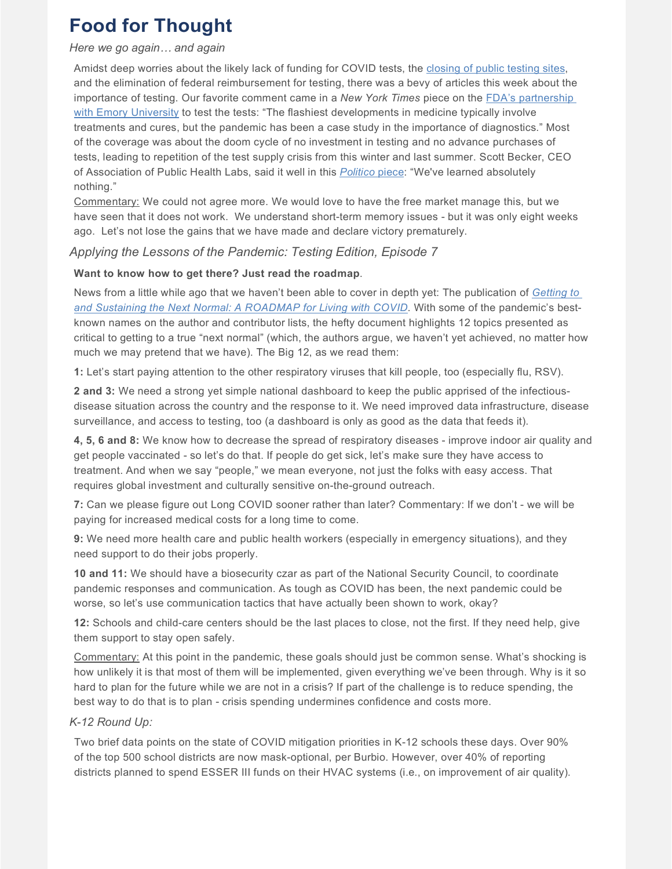## **Food for Thought**

#### *Here we go again… and again*

Amidst deep worries about the likely lack of funding for COVID tests, the [closing of public testing sites,](https://www.nytimes.com/live/2022/03/20/world/covid-19-mandates-cases-vaccine/some-states-in-the-us-are-closing-virus-testing-sites-despite-fears-of-a-new-surge)  and the elimination of federal reimbursement for testing, there was a bevy of articles this week about the importance of testing. Our favorite comment came in a *New York Times* piece on the [FDA's partnership](https://www.nytimes.com/2022/03/15/health/covid-testing-variants-emory.html)  [with Emory University](https://www.nytimes.com/2022/03/15/health/covid-testing-variants-emory.html) to test the tests: "The flashiest developments in medicine typically involve treatments and cures, but the pandemic has been a case study in the importance of diagnostics." Most of the coverage was about the doom cycle of no investment in testing and no advance purchases of tests, leading to repetition of the test supply crisis from this winter and last summer. Scott Becker, CEO of Association of Public Health Labs, said it well in this *[Politico](https://www.politico.com/news/2022/03/22/tests-short-supply-if-covid-surges-00019046)* piece: "We've learned absolutely nothing."

Commentary: We could not agree more. We would love to have the free market manage this, but we have seen that it does not work. We understand short-term memory issues - but it was only eight weeks ago. Let's not lose the gains that we have made and declare victory prematurely.

#### *Applying the Lessons of the Pandemic: Testing Edition, Episode 7*

#### **Want to know how to get there? Just read the roadmap**.

News from a little while ago that we haven't been able to cover in depth yet: The publication of *[Getting to](https://www.covidroadmap.org/roadmap)  [and Sustaining the Next Normal: A ROADMAP for Living with COVID](https://www.covidroadmap.org/roadmap)*. With some of the pandemic's bestknown names on the author and contributor lists, the hefty document highlights 12 topics presented as critical to getting to a true "next normal" (which, the authors argue, we haven't yet achieved, no matter how much we may pretend that we have). The Big 12, as we read them:

**1:** Let's start paying attention to the other respiratory viruses that kill people, too (especially flu, RSV).

**2 and 3:** We need a strong yet simple national dashboard to keep the public apprised of the infectiousdisease situation across the country and the response to it. We need improved data infrastructure, disease surveillance, and access to testing, too (a dashboard is only as good as the data that feeds it).

**4, 5, 6 and 8:** We know how to decrease the spread of respiratory diseases - improve indoor air quality and get people vaccinated - so let's do that. If people do get sick, let's make sure they have access to treatment. And when we say "people," we mean everyone, not just the folks with easy access. That requires global investment and culturally sensitive on-the-ground outreach.

**7:** Can we please figure out Long COVID sooner rather than later? Commentary: If we don't - we will be paying for increased medical costs for a long time to come.

**9:** We need more health care and public health workers (especially in emergency situations), and they need support to do their jobs properly.

**10 and 11:** We should have a biosecurity czar as part of the National Security Council, to coordinate pandemic responses and communication. As tough as COVID has been, the next pandemic could be worse, so let's use communication tactics that have actually been shown to work, okay?

**12:** Schools and child-care centers should be the last places to close, not the first. If they need help, give them support to stay open safely.

Commentary: At this point in the pandemic, these goals should just be common sense. What's shocking is how unlikely it is that most of them will be implemented, given everything we've been through. Why is it so hard to plan for the future while we are not in a crisis? If part of the challenge is to reduce spending, the best way to do that is to plan - crisis spending undermines confidence and costs more.

#### *K-12 Round Up:*

Two brief data points on the state of COVID mitigation priorities in K-12 schools these days. Over 90% of the top 500 school districts are now mask-optional, per Burbio. However, over 40% of reporting districts planned to spend ESSER III funds on their HVAC systems (i.e., on improvement of air quality).